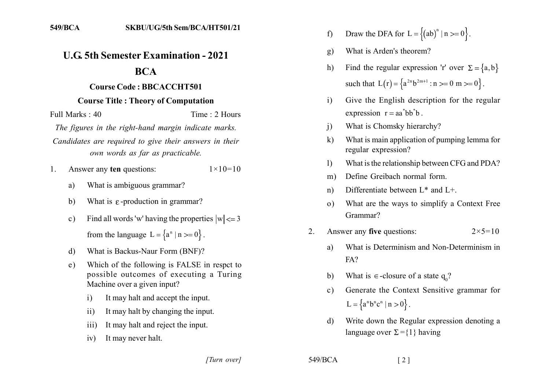## **U.G. 5th Semester Examination - 2021**

## **BCA**

## **Course Code: BBCACCHT501**

## **Course Title: Theory of Computation**

Time: 2 Hours Full Marks  $\cdot$  40

The figures in the right-hand margin indicate marks.

Candidates are required to give their answers in their own words as far as practicable.

Answer any ten questions:  $1_{-}$  $1 \times 10 = 10$ 

- What is ambiguous grammar? a)
- $b)$ What is  $\varepsilon$ -production in grammar?
- Find all words 'w' having the properties  $|w| \le 3$  $c)$ from the language  $L = \{a^n | n >= 0\}$ .
- What is Backus-Naur Form (BNF)? d)
- Which of the following is FALSE in respect to  $e)$ possible outcomes of executing a Turing Machine over a given input?
	- It may halt and accept the input.  $\mathbf{i}$
	- It may halt by changing the input.  $\overline{11}$
	- It may halt and reject the input.  $\overline{111}$
	- It may never halt.  $iv)$
- Draw the DFA for  $L = \{(ab)^n | n >= 0\}$ .  $f$
- What is Arden's theorem? g)
- Find the regular expression 'r' over  $\Sigma = \{a, b\}$  $h)$ such that  $L(r) = \{a^{2n}b^{2m+1} : n \ge 0 \text{ m } \ge 0\}$ .
- Give the English description for the regular  $\mathbf{i}$ expression  $r = aa^*bb^*b$ .
- What is Chomsky hierarchy?  $\overline{1}$
- What is main application of pumping lemma for  $\bf k$ regular expression?
- What is the relationship between CFG and PDA?  $\mathbf{D}$
- Define Greibach normal form.  $m)$
- Differentiate between  $L^*$  and  $L^+$ .  $n)$
- What are the ways to simplify a Context Free  $\Omega$ Grammar?
- Answer any five questions:  $2 \times 5 = 10$  $2^{\circ}$ 
	- What is Determinism and Non-Determinism in a)  $FA?$
	- What is  $\epsilon$ -closure of a state q.?  $\mathbf{b}$
	- Generate the Context Sensitive grammar for  $c)$  $L = \{a^n b^n c^n \mid n > 0\}.$
	- Write down the Regular expression denoting a  $d$ language over  $\Sigma = \{1\}$  having

[Turn over]

549/BCA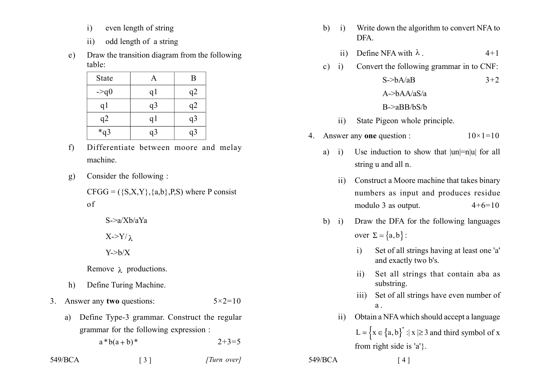- even length of string  $\mathbf{i}$
- odd length of a string  $ii)$
- Draw the transition diagram from the following  $e)$ table<sup>-</sup>

| <b>State</b>   |                | B              |
|----------------|----------------|----------------|
| $-\geq q_0$    | q <sub>1</sub> | q2             |
| q <sub>1</sub> | q <sub>3</sub> | q2             |
| q2             | q <sub>1</sub> | q <sub>3</sub> |
| $*q3$          | q3             | q3             |

- $f$ Differentiate between moore and melay machine
- Consider the following:  $g)$ 
	- $CFGG = (\{S, X, Y\}, \{a, b\}, P, S)$  where P consist  $\sigma$

 $S \geq a/Xh/aYa$ 

 $X > Y/\lambda$ 

 $Y > b/X$ 

Remove  $\lambda$  productions.

- $h)$ Define Turing Machine.
- 3. Answer any two questions:  $5 \times 2 = 10$

 $\begin{bmatrix} 3 \end{bmatrix}$ 

Define Type-3 grammar. Construct the regular a) grammar for the following expression :

 $a * b(a + b) *$  $2+3=5$ 

549/BCA

- Write down the algorithm to convert NFA to  $h$  $\overline{\mathbf{i}}$ **DFA** 
	- Define NFA with  $\lambda$ .  $4 + 1$  $\overline{11}$
- Convert the following grammar in to CNF:  $c)$  i)

| $S \rightarrow bA/aB$ | $3 + 2$ |
|-----------------------|---------|
| A- $>$ bAA/aS/a       |         |
| $B \geq aBB/bS/b$     |         |

- State Pigeon whole principle.  $ii)$
- 4. Answer any one question :  $10 \times 1 = 10$ 
	- $a)$  i) Use induction to show that  $|un|=n|u|$  for all string u and all n.
		- Construct a Moore machine that takes binary  $\overline{11}$ numbers as input and produces residue modulo 3 as output.  $4+6=10$
	- Draw the DFA for the following languages  $b)$  i) over  $\Sigma = \{a, b\}$ :
		- Set of all strings having at least one 'a'  $\mathbf{i}$ and exactly two b's.
		- Set all strings that contain aba as  $\overline{11}$ ) substring.
		- Set of all strings have even number of  $\overline{111}$ )  $a$
		- Obtain a NFA which should accept a language  $\rm ii)$ L =  $\{x \in \{a, b\}^* : |x| \ge 3 \text{ and third symbol of } x\}$ from right side is 'a'}.

 $549/BCA$